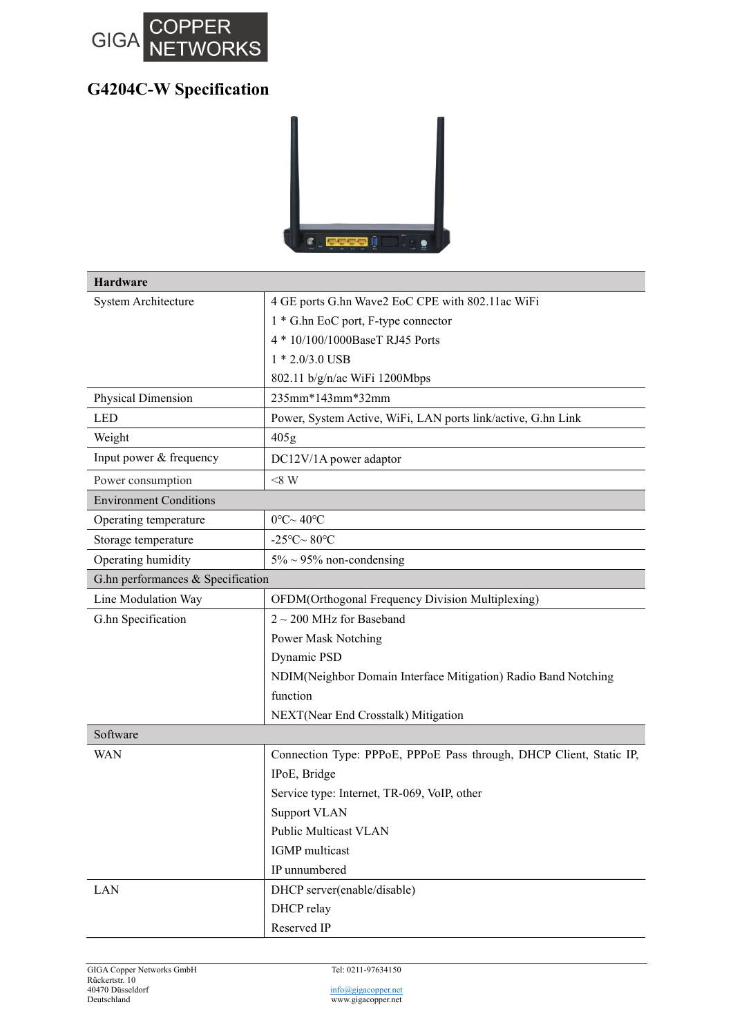

## G4204C-W Specification



| <b>Hardware</b>                   |                                                                     |
|-----------------------------------|---------------------------------------------------------------------|
| System Architecture               | 4 GE ports G.hn Wave2 EoC CPE with 802.11ac WiFi                    |
|                                   | 1 * G.hn EoC port, F-type connector                                 |
|                                   | 4 * 10/100/1000BaseT RJ45 Ports                                     |
|                                   | $1 * 2.0/3.0$ USB                                                   |
|                                   | 802.11 b/g/n/ac WiFi 1200Mbps                                       |
| Physical Dimension                | 235mm*143mm*32mm                                                    |
| <b>LED</b>                        | Power, System Active, WiFi, LAN ports link/active, G.hn Link        |
| Weight                            | 405g                                                                |
| Input power & frequency           | DC12V/1A power adaptor                                              |
| Power consumption                 | $< 8$ W                                                             |
| <b>Environment Conditions</b>     |                                                                     |
| Operating temperature             | $0^{\circ}$ C $\sim$ 40°C                                           |
| Storage temperature               | -25°C $\sim$ 80°C                                                   |
| Operating humidity                | $5\% \sim 95\%$ non-condensing                                      |
| G.hn performances & Specification |                                                                     |
| Line Modulation Way               | OFDM(Orthogonal Frequency Division Multiplexing)                    |
| G.hn Specification                | $2 \sim 200$ MHz for Baseband                                       |
|                                   | Power Mask Notching                                                 |
|                                   | Dynamic PSD                                                         |
|                                   | NDIM(Neighbor Domain Interface Mitigation) Radio Band Notching      |
|                                   | function                                                            |
|                                   | NEXT(Near End Crosstalk) Mitigation                                 |
| Software                          |                                                                     |
| WAN                               | Connection Type: PPPoE, PPPoE Pass through, DHCP Client, Static IP, |
|                                   | IPoE, Bridge                                                        |
|                                   | Service type: Internet, TR-069, VoIP, other                         |
|                                   | <b>Support VLAN</b>                                                 |
|                                   | Public Multicast VLAN                                               |
|                                   | <b>IGMP</b> multicast                                               |
|                                   | IP unnumbered                                                       |
| LAN                               | DHCP server(enable/disable)                                         |
|                                   | DHCP relay                                                          |
|                                   | Reserved IP                                                         |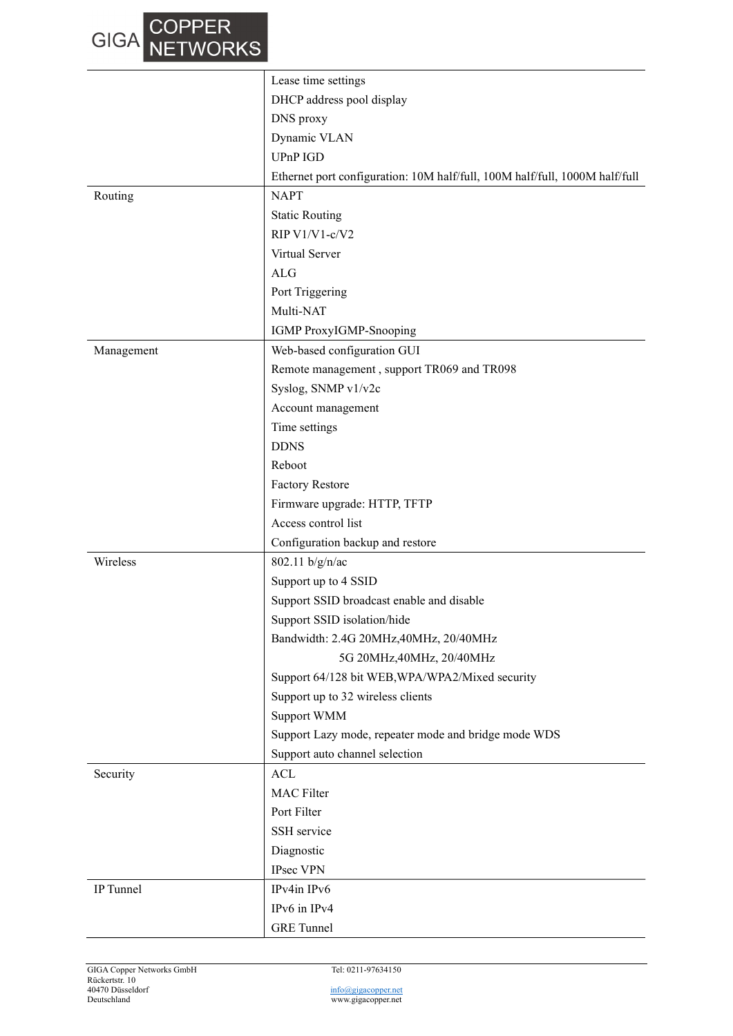| DHCP address pool display<br>DNS proxy<br>Dynamic VLAN<br>UPnP IGD<br>Ethernet port configuration: 10M half/full, 100M half/full, 1000M half/full<br><b>NAPT</b><br>Routing<br><b>Static Routing</b><br>RIP V1/V1-c/V2<br>Virtual Server<br>ALG<br>Port Triggering<br>Multi-NAT<br>IGMP ProxyIGMP-Snooping<br>Web-based configuration GUI<br>Management<br>Remote management, support TR069 and TR098<br>Syslog, SNMP v1/v2c<br>Account management<br>Time settings<br><b>DDNS</b><br>Reboot |
|----------------------------------------------------------------------------------------------------------------------------------------------------------------------------------------------------------------------------------------------------------------------------------------------------------------------------------------------------------------------------------------------------------------------------------------------------------------------------------------------|
|                                                                                                                                                                                                                                                                                                                                                                                                                                                                                              |
|                                                                                                                                                                                                                                                                                                                                                                                                                                                                                              |
|                                                                                                                                                                                                                                                                                                                                                                                                                                                                                              |
|                                                                                                                                                                                                                                                                                                                                                                                                                                                                                              |
|                                                                                                                                                                                                                                                                                                                                                                                                                                                                                              |
|                                                                                                                                                                                                                                                                                                                                                                                                                                                                                              |
|                                                                                                                                                                                                                                                                                                                                                                                                                                                                                              |
|                                                                                                                                                                                                                                                                                                                                                                                                                                                                                              |
|                                                                                                                                                                                                                                                                                                                                                                                                                                                                                              |
|                                                                                                                                                                                                                                                                                                                                                                                                                                                                                              |
|                                                                                                                                                                                                                                                                                                                                                                                                                                                                                              |
|                                                                                                                                                                                                                                                                                                                                                                                                                                                                                              |
|                                                                                                                                                                                                                                                                                                                                                                                                                                                                                              |
|                                                                                                                                                                                                                                                                                                                                                                                                                                                                                              |
|                                                                                                                                                                                                                                                                                                                                                                                                                                                                                              |
|                                                                                                                                                                                                                                                                                                                                                                                                                                                                                              |
|                                                                                                                                                                                                                                                                                                                                                                                                                                                                                              |
|                                                                                                                                                                                                                                                                                                                                                                                                                                                                                              |
|                                                                                                                                                                                                                                                                                                                                                                                                                                                                                              |
|                                                                                                                                                                                                                                                                                                                                                                                                                                                                                              |
| <b>Factory Restore</b>                                                                                                                                                                                                                                                                                                                                                                                                                                                                       |
| Firmware upgrade: HTTP, TFTP                                                                                                                                                                                                                                                                                                                                                                                                                                                                 |
| Access control list                                                                                                                                                                                                                                                                                                                                                                                                                                                                          |
| Configuration backup and restore                                                                                                                                                                                                                                                                                                                                                                                                                                                             |
| Wireless<br>802.11 b/g/n/ac                                                                                                                                                                                                                                                                                                                                                                                                                                                                  |
| Support up to 4 SSID                                                                                                                                                                                                                                                                                                                                                                                                                                                                         |
| Support SSID broadcast enable and disable                                                                                                                                                                                                                                                                                                                                                                                                                                                    |
| Support SSID isolation/hide                                                                                                                                                                                                                                                                                                                                                                                                                                                                  |
| Bandwidth: 2.4G 20MHz, 40MHz, 20/40MHz                                                                                                                                                                                                                                                                                                                                                                                                                                                       |
| 5G 20MHz, 40MHz, 20/40MHz                                                                                                                                                                                                                                                                                                                                                                                                                                                                    |
| Support 64/128 bit WEB, WPA/WPA2/Mixed security                                                                                                                                                                                                                                                                                                                                                                                                                                              |
| Support up to 32 wireless clients                                                                                                                                                                                                                                                                                                                                                                                                                                                            |
| Support WMM                                                                                                                                                                                                                                                                                                                                                                                                                                                                                  |
| Support Lazy mode, repeater mode and bridge mode WDS                                                                                                                                                                                                                                                                                                                                                                                                                                         |
| Support auto channel selection                                                                                                                                                                                                                                                                                                                                                                                                                                                               |
| <b>ACL</b><br>Security                                                                                                                                                                                                                                                                                                                                                                                                                                                                       |
| <b>MAC</b> Filter                                                                                                                                                                                                                                                                                                                                                                                                                                                                            |
| Port Filter                                                                                                                                                                                                                                                                                                                                                                                                                                                                                  |
| SSH service                                                                                                                                                                                                                                                                                                                                                                                                                                                                                  |
| Diagnostic                                                                                                                                                                                                                                                                                                                                                                                                                                                                                   |
| IPsec VPN                                                                                                                                                                                                                                                                                                                                                                                                                                                                                    |
| IPv4in IPv6<br>IP Tunnel                                                                                                                                                                                                                                                                                                                                                                                                                                                                     |
| IPv6 in IPv4                                                                                                                                                                                                                                                                                                                                                                                                                                                                                 |
| <b>GRE</b> Tunnel                                                                                                                                                                                                                                                                                                                                                                                                                                                                            |